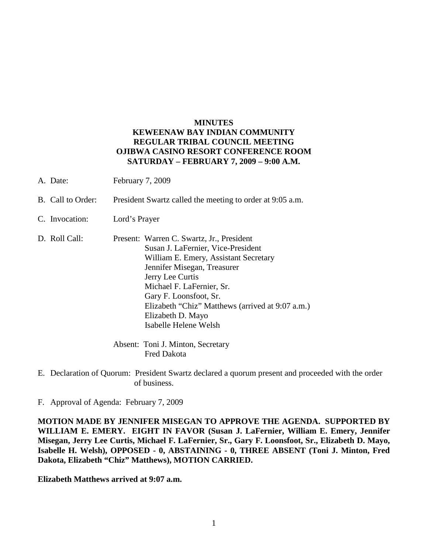## **MINUTES KEWEENAW BAY INDIAN COMMUNITY REGULAR TRIBAL COUNCIL MEETING OJIBWA CASINO RESORT CONFERENCE ROOM SATURDAY – FEBRUARY 7, 2009 – 9:00 A.M.**

- A. Date: February 7, 2009
- B. Call to Order: President Swartz called the meeting to order at 9:05 a.m.
- C. Invocation: Lord's Prayer
- D. Roll Call: Present: Warren C. Swartz, Jr., President Susan J. LaFernier, Vice-President William E. Emery, Assistant Secretary Jennifer Misegan, Treasurer Jerry Lee Curtis Michael F. LaFernier, Sr. Gary F. Loonsfoot, Sr. Elizabeth "Chiz" Matthews (arrived at 9:07 a.m.) Elizabeth D. Mayo Isabelle Helene Welsh

Absent: Toni J. Minton, Secretary Fred Dakota

- E. Declaration of Quorum: President Swartz declared a quorum present and proceeded with the order of business.
- F. Approval of Agenda: February 7, 2009

**MOTION MADE BY JENNIFER MISEGAN TO APPROVE THE AGENDA. SUPPORTED BY WILLIAM E. EMERY. EIGHT IN FAVOR (Susan J. LaFernier, William E. Emery, Jennifer Misegan, Jerry Lee Curtis, Michael F. LaFernier, Sr., Gary F. Loonsfoot, Sr., Elizabeth D. Mayo, Isabelle H. Welsh), OPPOSED - 0, ABSTAINING - 0, THREE ABSENT (Toni J. Minton, Fred Dakota, Elizabeth "Chiz" Matthews), MOTION CARRIED.**

**Elizabeth Matthews arrived at 9:07 a.m.**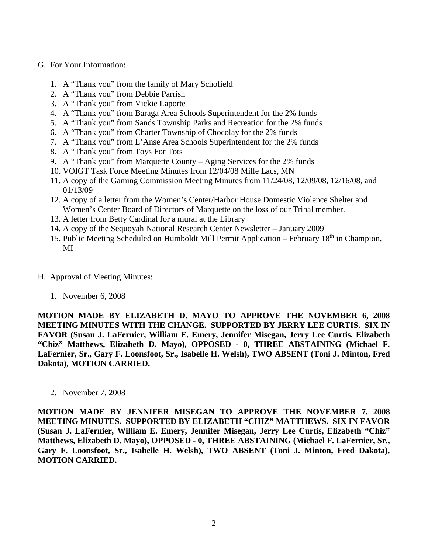- G. For Your Information:
	- 1. A "Thank you" from the family of Mary Schofield
	- 2. A "Thank you" from Debbie Parrish
	- 3. A "Thank you" from Vickie Laporte
	- 4. A "Thank you" from Baraga Area Schools Superintendent for the 2% funds
	- 5. A "Thank you" from Sands Township Parks and Recreation for the 2% funds
	- 6. A "Thank you" from Charter Township of Chocolay for the 2% funds
	- 7. A "Thank you" from L'Anse Area Schools Superintendent for the 2% funds
	- 8. A "Thank you" from Toys For Tots
	- 9. A "Thank you" from Marquette County Aging Services for the 2% funds
	- 10. VOIGT Task Force Meeting Minutes from 12/04/08 Mille Lacs, MN
	- 11. A copy of the Gaming Commission Meeting Minutes from 11/24/08, 12/09/08, 12/16/08, and 01/13/09
	- 12. A copy of a letter from the Women's Center/Harbor House Domestic Violence Shelter and Women's Center Board of Directors of Marquette on the loss of our Tribal member.
	- 13. A letter from Betty Cardinal for a mural at the Library
	- 14. A copy of the Sequoyah National Research Center Newsletter January 2009
	- 15. Public Meeting Scheduled on Humboldt Mill Permit Application February  $18<sup>th</sup>$  in Champion, MI
- H. Approval of Meeting Minutes:
	- 1. November 6, 2008

**MOTION MADE BY ELIZABETH D. MAYO TO APPROVE THE NOVEMBER 6, 2008 MEETING MINUTES WITH THE CHANGE. SUPPORTED BY JERRY LEE CURTIS. SIX IN FAVOR (Susan J. LaFernier, William E. Emery, Jennifer Misegan, Jerry Lee Curtis, Elizabeth "Chiz" Matthews, Elizabeth D. Mayo), OPPOSED - 0, THREE ABSTAINING (Michael F. LaFernier, Sr., Gary F. Loonsfoot, Sr., Isabelle H. Welsh), TWO ABSENT (Toni J. Minton, Fred Dakota), MOTION CARRIED.**

2. November 7, 2008

**MOTION MADE BY JENNIFER MISEGAN TO APPROVE THE NOVEMBER 7, 2008 MEETING MINUTES. SUPPORTED BY ELIZABETH "CHIZ" MATTHEWS. SIX IN FAVOR (Susan J. LaFernier, William E. Emery, Jennifer Misegan, Jerry Lee Curtis, Elizabeth "Chiz" Matthews, Elizabeth D. Mayo), OPPOSED - 0, THREE ABSTAINING (Michael F. LaFernier, Sr., Gary F. Loonsfoot, Sr., Isabelle H. Welsh), TWO ABSENT (Toni J. Minton, Fred Dakota), MOTION CARRIED.**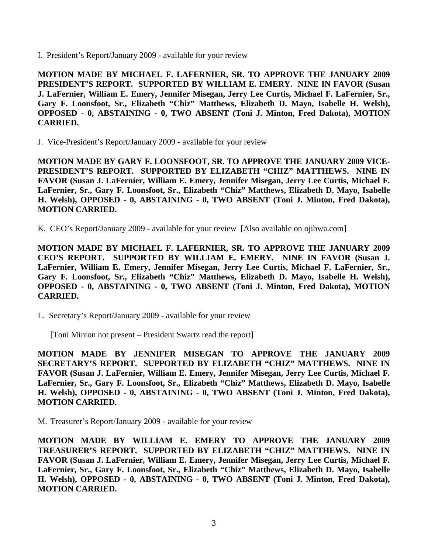I. President's Report/January 2009 - available for your review

**MOTION MADE BY MICHAEL F. LAFERNIER, SR. TO APPROVE THE JANUARY 2009 PRESIDENT'S REPORT. SUPPORTED BY WILLIAM E. EMERY. NINE IN FAVOR (Susan J. LaFernier, William E. Emery, Jennifer Misegan, Jerry Lee Curtis, Michael F. LaFernier, Sr., Gary F. Loonsfoot, Sr., Elizabeth "Chiz" Matthews, Elizabeth D. Mayo, Isabelle H. Welsh), OPPOSED - 0, ABSTAINING - 0, TWO ABSENT (Toni J. Minton, Fred Dakota), MOTION CARRIED.**

J. Vice-President's Report/January 2009 - available for your review

**MOTION MADE BY GARY F. LOONSFOOT, SR. TO APPROVE THE JANUARY 2009 VICE-PRESIDENT'S REPORT. SUPPORTED BY ELIZABETH "CHIZ" MATTHEWS. NINE IN FAVOR (Susan J. LaFernier, William E. Emery, Jennifer Misegan, Jerry Lee Curtis, Michael F. LaFernier, Sr., Gary F. Loonsfoot, Sr., Elizabeth "Chiz" Matthews, Elizabeth D. Mayo, Isabelle H. Welsh), OPPOSED - 0, ABSTAINING - 0, TWO ABSENT (Toni J. Minton, Fred Dakota), MOTION CARRIED.**

K. CEO's Report/January 2009 - available for your review [Also available on ojibwa.com]

**MOTION MADE BY MICHAEL F. LAFERNIER, SR. TO APPROVE THE JANUARY 2009 CEO'S REPORT. SUPPORTED BY WILLIAM E. EMERY. NINE IN FAVOR (Susan J. LaFernier, William E. Emery, Jennifer Misegan, Jerry Lee Curtis, Michael F. LaFernier, Sr., Gary F. Loonsfoot, Sr., Elizabeth "Chiz" Matthews, Elizabeth D. Mayo, Isabelle H. Welsh), OPPOSED - 0, ABSTAINING - 0, TWO ABSENT (Toni J. Minton, Fred Dakota), MOTION CARRIED.**

L. Secretary's Report/January 2009 - available for your review

[Toni Minton not present – President Swartz read the report]

**MOTION MADE BY JENNIFER MISEGAN TO APPROVE THE JANUARY 2009 SECRETARY'S REPORT. SUPPORTED BY ELIZABETH "CHIZ" MATTHEWS. NINE IN FAVOR (Susan J. LaFernier, William E. Emery, Jennifer Misegan, Jerry Lee Curtis, Michael F. LaFernier, Sr., Gary F. Loonsfoot, Sr., Elizabeth "Chiz" Matthews, Elizabeth D. Mayo, Isabelle H. Welsh), OPPOSED - 0, ABSTAINING - 0, TWO ABSENT (Toni J. Minton, Fred Dakota), MOTION CARRIED.**

M. Treasurer's Report/January 2009 - available for your review

**MOTION MADE BY WILLIAM E. EMERY TO APPROVE THE JANUARY 2009 TREASURER'S REPORT. SUPPORTED BY ELIZABETH "CHIZ" MATTHEWS. NINE IN FAVOR (Susan J. LaFernier, William E. Emery, Jennifer Misegan, Jerry Lee Curtis, Michael F. LaFernier, Sr., Gary F. Loonsfoot, Sr., Elizabeth "Chiz" Matthews, Elizabeth D. Mayo, Isabelle H. Welsh), OPPOSED - 0, ABSTAINING - 0, TWO ABSENT (Toni J. Minton, Fred Dakota), MOTION CARRIED.**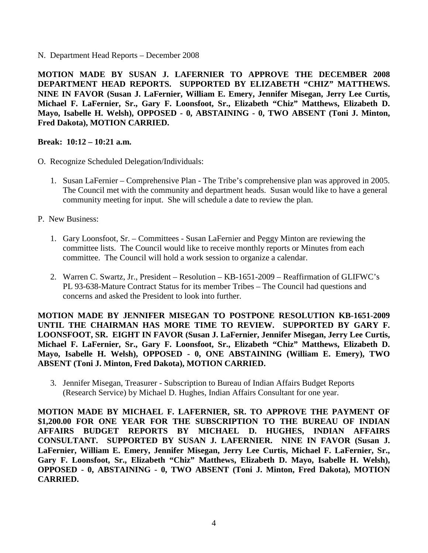N. Department Head Reports – December 2008

**MOTION MADE BY SUSAN J. LAFERNIER TO APPROVE THE DECEMBER 2008 DEPARTMENT HEAD REPORTS. SUPPORTED BY ELIZABETH "CHIZ" MATTHEWS. NINE IN FAVOR (Susan J. LaFernier, William E. Emery, Jennifer Misegan, Jerry Lee Curtis, Michael F. LaFernier, Sr., Gary F. Loonsfoot, Sr., Elizabeth "Chiz" Matthews, Elizabeth D. Mayo, Isabelle H. Welsh), OPPOSED - 0, ABSTAINING - 0, TWO ABSENT (Toni J. Minton, Fred Dakota), MOTION CARRIED.**

## **Break: 10:12 – 10:21 a.m.**

- O. Recognize Scheduled Delegation/Individuals:
	- 1. Susan LaFernier Comprehensive Plan The Tribe's comprehensive plan was approved in 2005. The Council met with the community and department heads. Susan would like to have a general community meeting for input. She will schedule a date to review the plan.
- P. New Business:
	- 1. Gary Loonsfoot, Sr. Committees Susan LaFernier and Peggy Minton are reviewing the committee lists. The Council would like to receive monthly reports or Minutes from each committee. The Council will hold a work session to organize a calendar.
	- 2. Warren C. Swartz, Jr., President Resolution KB-1651-2009 Reaffirmation of GLIFWC's PL 93-638-Mature Contract Status for its member Tribes – The Council had questions and concerns and asked the President to look into further.

**MOTION MADE BY JENNIFER MISEGAN TO POSTPONE RESOLUTION KB-1651-2009**  UNTIL THE CHAIRMAN HAS MORE TIME TO REVIEW. SUPPORTED BY GARY F. **LOONSFOOT, SR. EIGHT IN FAVOR (Susan J. LaFernier, Jennifer Misegan, Jerry Lee Curtis, Michael F. LaFernier, Sr., Gary F. Loonsfoot, Sr., Elizabeth "Chiz" Matthews, Elizabeth D. Mayo, Isabelle H. Welsh), OPPOSED - 0, ONE ABSTAINING (William E. Emery), TWO ABSENT (Toni J. Minton, Fred Dakota), MOTION CARRIED.**

3. Jennifer Misegan, Treasurer - Subscription to Bureau of Indian Affairs Budget Reports (Research Service) by Michael D. Hughes, Indian Affairs Consultant for one year.

**MOTION MADE BY MICHAEL F. LAFERNIER, SR. TO APPROVE THE PAYMENT OF \$1,200.00 FOR ONE YEAR FOR THE SUBSCRIPTION TO THE BUREAU OF INDIAN AFFAIRS BUDGET REPORTS BY MICHAEL D. HUGHES, INDIAN AFFAIRS CONSULTANT. SUPPORTED BY SUSAN J. LAFERNIER. NINE IN FAVOR (Susan J. LaFernier, William E. Emery, Jennifer Misegan, Jerry Lee Curtis, Michael F. LaFernier, Sr., Gary F. Loonsfoot, Sr., Elizabeth "Chiz" Matthews, Elizabeth D. Mayo, Isabelle H. Welsh), OPPOSED - 0, ABSTAINING - 0, TWO ABSENT (Toni J. Minton, Fred Dakota), MOTION CARRIED.**